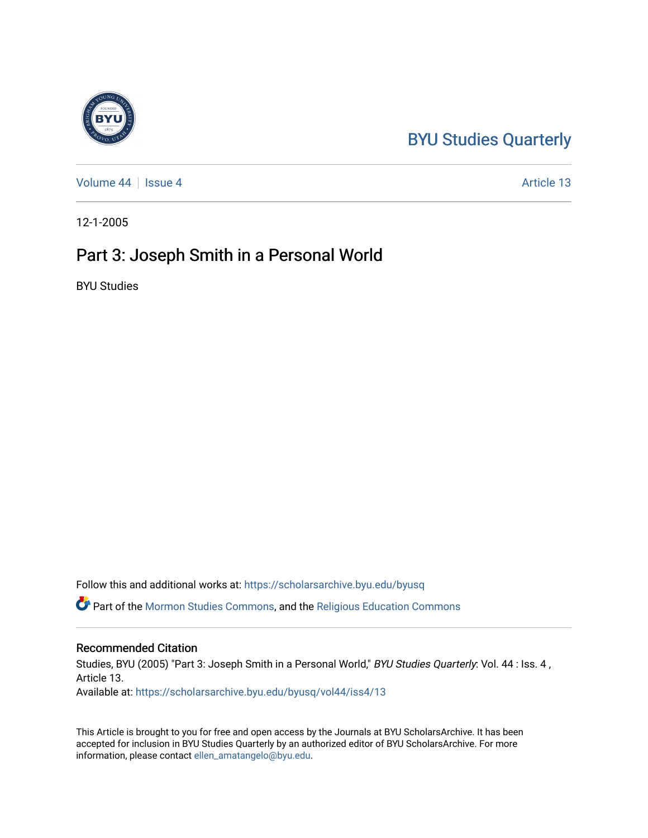# [BYU Studies Quarterly](https://scholarsarchive.byu.edu/byusq)

[Volume 44](https://scholarsarchive.byu.edu/byusq/vol44) | [Issue 4](https://scholarsarchive.byu.edu/byusq/vol44/iss4) Article 13

12-1-2005

## Part 3: Joseph Smith in a Personal World

BYU Studies

Follow this and additional works at: [https://scholarsarchive.byu.edu/byusq](https://scholarsarchive.byu.edu/byusq?utm_source=scholarsarchive.byu.edu%2Fbyusq%2Fvol44%2Fiss4%2F13&utm_medium=PDF&utm_campaign=PDFCoverPages) 

Part of the [Mormon Studies Commons](http://network.bepress.com/hgg/discipline/1360?utm_source=scholarsarchive.byu.edu%2Fbyusq%2Fvol44%2Fiss4%2F13&utm_medium=PDF&utm_campaign=PDFCoverPages), and the [Religious Education Commons](http://network.bepress.com/hgg/discipline/1414?utm_source=scholarsarchive.byu.edu%2Fbyusq%2Fvol44%2Fiss4%2F13&utm_medium=PDF&utm_campaign=PDFCoverPages) 

#### Recommended Citation

Studies, BYU (2005) "Part 3: Joseph Smith in a Personal World," BYU Studies Quarterly: Vol. 44 : Iss. 4, Article 13. Available at: [https://scholarsarchive.byu.edu/byusq/vol44/iss4/13](https://scholarsarchive.byu.edu/byusq/vol44/iss4/13?utm_source=scholarsarchive.byu.edu%2Fbyusq%2Fvol44%2Fiss4%2F13&utm_medium=PDF&utm_campaign=PDFCoverPages) 

This Article is brought to you for free and open access by the Journals at BYU ScholarsArchive. It has been accepted for inclusion in BYU Studies Quarterly by an authorized editor of BYU ScholarsArchive. For more information, please contact [ellen\\_amatangelo@byu.edu.](mailto:ellen_amatangelo@byu.edu)